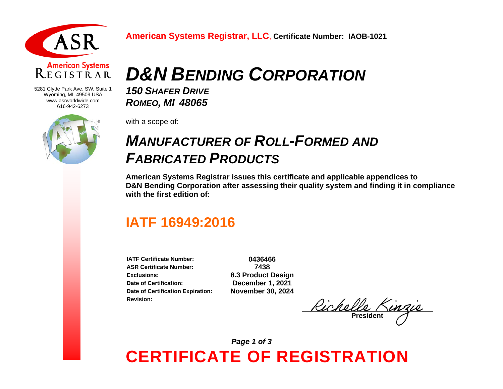

#### **American Systems** REGISTRAR

5281 Clyde Park Ave. SW, Suite 1 Wyoming, MI 49509 USA www.asrworldwide.com 616-942-6273



# *D&N BENDING CORPORATION*

*150 SHAFER DRIVE ROMEO, MI 48065* 

with a scope of:

### *MANUFACTURER OF ROLL-FORMED AND FABRICATED PRODUCTS*

**American Systems Registrar issues this certificate and applicable appendices to D&N Bending Corporation after assessing their quality system and finding it in compliance with the first edition of:**

### **IATF 16949:2016**

**IATF Certificate Number: 0436466 ASR Certificate Number: 7438 Exclusions: 8.3 Product Design Date of Certification: December 1, 2021 Date of Certification Expiration: November 30, 2024 Revision:**

<u>Richelle Kinzie</u>

**CERTIFICATE OF REGISTRATION** *Page 1 of 3*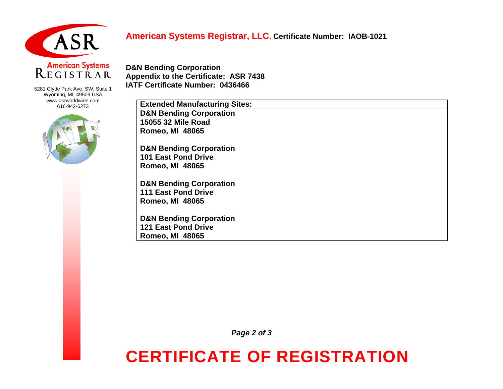

#### **American Systems Registrar, LLC**, **Certificate Number: IAOB-1021**

# American Systems<br>
REGISTRAR

5281 Clyde Park Ave. SW, Suite 1 Wyoming, MI 49509 USA www.asrworldwide.com 616-942-6273



**D&N Bending Corporation Appendix to the Certificate: ASR 7438 IATF Certificate Number: 0436466**

| <b>Extended Manufacturing Sites:</b> |
|--------------------------------------|
| <b>D&amp;N Bending Corporation</b>   |
| 15055 32 Mile Road                   |
| <b>Romeo, MI 48065</b>               |
| <b>D&amp;N Bending Corporation</b>   |
| <b>101 East Pond Drive</b>           |
| <b>Romeo, MI 48065</b>               |
| <b>D&amp;N Bending Corporation</b>   |
| <b>111 East Pond Drive</b>           |
| <b>Romeo, MI 48065</b>               |
| <b>D&amp;N Bending Corporation</b>   |
| <b>121 East Pond Drive</b>           |
| <b>Romeo, MI 48065</b>               |
|                                      |

*Page 2 of 3*

## **CERTIFICATE OF REGISTRATION**